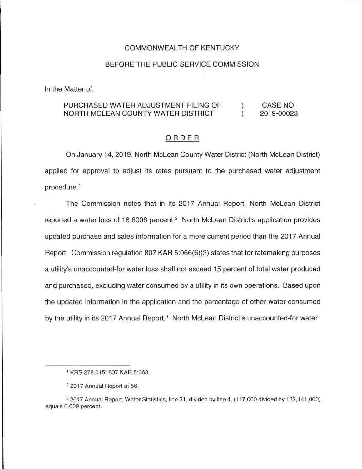### COMMONWEALTH OF KENTUCKY

#### BEFORE THE PUBLIC SERVICE COMMISSION

In the Matter of:

#### PURCHASED WATER ADJUSTMENT FILING OF CASE NO.  $\mathcal{L}$ NORTH MCLEAN COUNTY WATER DISTRICT  $\lambda$ 2019-00023

#### ORDER

On January 14, 2019, North Mclean County Water District (North Mclean District) applied for approval to adjust its rates pursuant to the purchased water adjustment procedure.<sup>1</sup>

The Commission notes that in its 2017 Annual Report, North Mclean District reported a water loss of 18.6006 percent.<sup>2</sup> North McLean District's application provides updated purchase and sales information for a more current period than the 2017 Annual Report. Commission regulation 807 KAR 5:066(6)(3) states that for ratemaking purposes a utility's unaccounted-for water loss shall not exceed 15 percent of total water produced and purchased, excluding water consumed by a utility in its own operations. Based upon the updated information in the application and the percentage of other water consumed by the utility in its 2017 Annual Report,<sup>3</sup> North McLean District's unaccounted-for water

<sup>1</sup>KRS 278.015; 807 KAR 5:068.

<sup>2</sup>2017 Annual Report at 56.

<sup>3</sup> 2017 Annual Report, Water Statistics, line 21 , divided by line 4, (117,000 divided by 132, 141,000) equals 0.009 percent.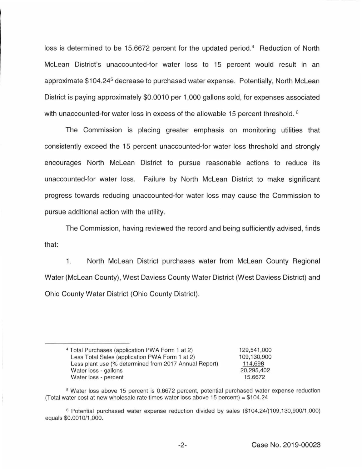loss is determined to be 15.6672 percent for the updated period.<sup>4</sup> Reduction of North Mclean District's unaccounted-for water loss to 15 percent would result in an approximate \$104.24<sup>5</sup> decrease to purchased water expense. Potentially, North McLean District is paying approximately \$0.0010 per 1,000 gallons sold, for expenses associated with unaccounted-for water loss in excess of the allowable 15 percent threshold. <sup>6</sup>

The Commission is placing greater emphasis on monitoring utilities that consistently exceed the 15 percent unaccounted-for water loss threshold and strongly encourages North Mclean District to pursue reasonable actions to reduce its unaccounted-for water loss. Failure by North Mclean District to make significant progress towards reducing unaccounted-for water loss may cause the Commission to pursue additional action with the utility.

The Commission, having reviewed the record and being sufficiently advised, finds that:

1. North Mclean District purchases water from Mclean County Regional Water (Mclean County), West Daviess County Water District (West Daviess District) and Ohio County Water District (Ohio County District).

<sup>4</sup>Total Purchases (application PWA Form 1 at 2) Less Total Sales (application PWA Form 1 at 2) Less plant use (% determined from 2017 Annual Report) Water loss - gallons Water loss - percent

<sup>129,541</sup> ,000 109, 130,900 114,698 20,295,402 15.6672

<sup>5</sup> Water loss above 15 percent is 0.6672 percent, potential purchased water expense reduction (Total water cost at new wholesale rate times water loss above 15 percent) = \$104.24

<sup>&</sup>lt;sup>6</sup> Potential purchased water expense reduction divided by sales (\$104.24/(109,130,900/1,000) equals \$0.0010/1,000.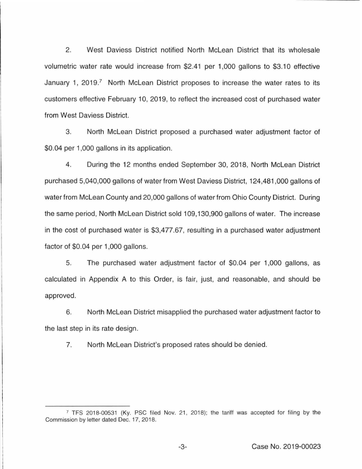2. West Daviess District notified North Mclean District that its wholesale volumetric water rate would increase from \$2.41 per 1 ,000 gallons to \$3.1 O effective January 1, 2019.<sup>7</sup> North McLean District proposes to increase the water rates to its customers effective February 10, 2019, to reflect the increased cost of purchased water from West Daviess District.

3. North Mclean District proposed a purchased water adjustment factor of \$0.04 per 1,000 gallons in its application.

4. During the 12 months ended September 30, 2018, North Mclean District purchased 5,040,000 gallons of water from West Daviess District, 124,481 ,000 gallons of water from Mclean County and 20,000 gallons of water from Ohio County District. During the same period, North Mclean District sold 109, 130,900 gallons of water. The increase in the cost of purchased water is \$3,477.67, resulting in a purchased water adjustment factor of \$0.04 per 1,000 gallons.

5. The purchased water adjustment factor of \$0.04 per 1,000 gallons, as calculated in Appendix A to this Order, is fair, just, and reasonable, and should be approved.

6. North Mclean District misapplied the purchased water adjustment factor to the last step in its rate design.

7. North Mclean District's proposed rates should be denied.

<sup>7</sup>TFS 2018-00531 (Ky. PSC filed Nov. 21, 2018); the tariff was accepted for filing by the Commission by letter dated Dec. 17, 2018.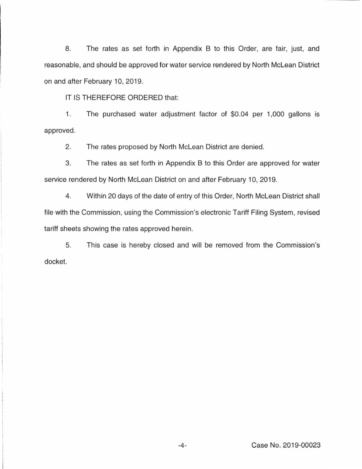8. The rates as set forth in Appendix B to this Order, are fair, just, and reasonable, and should be approved for water service rendered by North Mclean District on and after February 10, 2019.

IT IS THEREFORE ORDERED that:

1. The purchased water adjustment factor of \$0.04 per 1,000 gallons is approved.

2. The rates proposed by North Mclean District are denied.

3. The rates as set forth in Appendix B to this Order are approved for water service rendered by North Mclean District on and after February 10, 2019.

4. Within 20 days of the date of entry of this Order, North Mclean District shall file with the Commission, using the Commission's electronic Tariff Filing System, revised tariff sheets showing the rates approved herein.

5. This case is hereby closed and will be removed from the Commission's docket.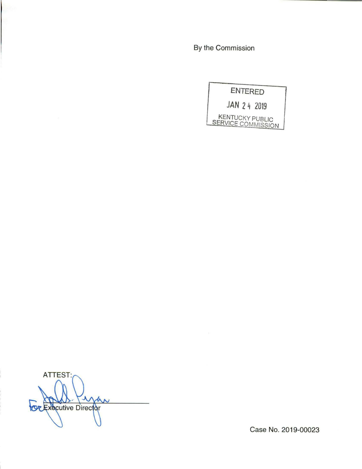By the Commission

**ENTERED JAN 2 4 2019**  KENTUCKY PUBLIC SERVICE COMMISSION

**ATTEST:** IJ  $\boldsymbol{\mathcal{N}}$ **OZExecutive Director** 

Case No. 2019-00023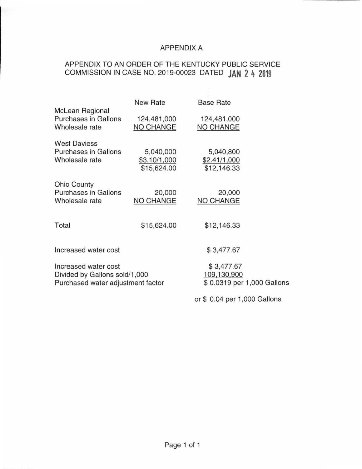## APPENDIX A

# APPENDIX TO AN ORDER OF THE KENTUCKY PUBLIC SERVICE COMMISSION IN CASE NO. 2019-00023 DATED **JAN 2 4 2019**

|                                                                                            | New Rate                                 | <b>Base Rate</b>                                        |  |
|--------------------------------------------------------------------------------------------|------------------------------------------|---------------------------------------------------------|--|
| <b>McLean Regional</b><br><b>Purchases in Gallons</b><br>Wholesale rate                    | 124,481,000<br><b>NO CHANGE</b>          | 124,481,000<br><b>NO CHANGE</b>                         |  |
| <b>West Daviess</b><br><b>Purchases in Gallons</b><br>Wholesale rate                       | 5,040,000<br>\$3.10/1,000<br>\$15,624.00 | 5,040,800<br>\$2.41/1,000<br>\$12,146.33                |  |
| <b>Ohio County</b><br><b>Purchases in Gallons</b><br>Wholesale rate                        | 20,000<br><b>NO CHANGE</b>               | 20,000<br>NO CHANGE                                     |  |
| Total                                                                                      | \$15,624.00                              | \$12,146.33                                             |  |
| Increased water cost                                                                       |                                          | \$3,477.67                                              |  |
| Increased water cost<br>Divided by Gallons sold/1,000<br>Purchased water adjustment factor |                                          | \$3,477.67<br>109,130,900<br>\$0.0319 per 1,000 Gallons |  |
|                                                                                            |                                          | or \$ 0.04 per 1,000 Gallons                            |  |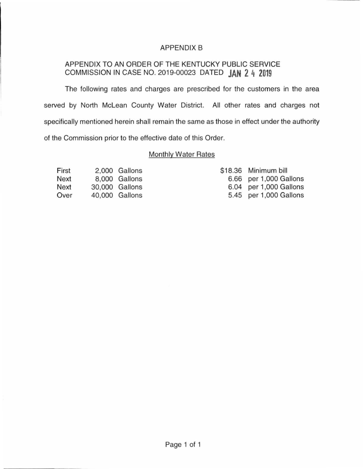## APPENDIX B

## APPENDIX TO AN ORDER OF THE KENTUCKY PUBLIC SERVICE COMMISSION IN CASE NO. 2019-00023 DATED **JAN 2 4 2019**

The following rates and charges are prescribed for the customers in the area served by North Mclean County Water District. All other rates and charges not specifically mentioned herein shall remain the same as those in effect under the authority of the Commission prior to the effective date of this Order.

## Monthly Water Rates

| First       | 2.000 Gallons  |
|-------------|----------------|
| Next        | 8,000 Gallons  |
| <b>Next</b> | 30,000 Gallons |
| Over        | 40,000 Gallons |

|      | \$18.36 Minimum bill   |
|------|------------------------|
|      | 6.66 per 1,000 Gallons |
| 6.04 | per 1,000 Gallons      |
| 5.45 | per 1,000 Gallons      |